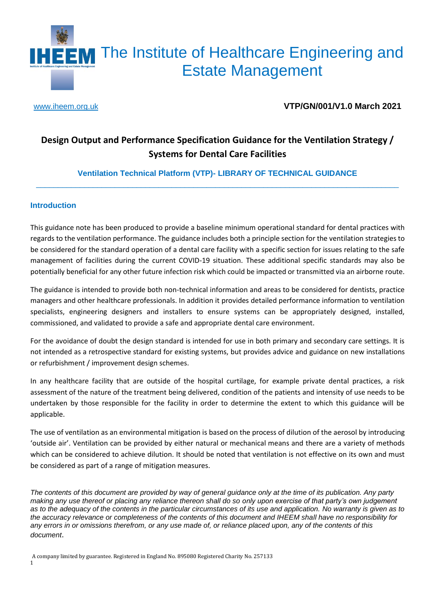

[www.iheem.org.uk](http://www.iheem.org.uk/) **VTP/GN/001/V1.0 March 2021**

### **Design Output and Performance Specification Guidance for the Ventilation Strategy / Systems for Dental Care Facilities**

**Ventilation Technical Platform (VTP)- LIBRARY OF TECHNICAL GUIDANCE** \_\_\_\_\_\_\_\_\_\_\_\_\_\_\_\_\_\_\_\_\_\_\_\_\_\_\_\_\_\_\_\_\_\_\_\_\_\_\_\_\_\_\_\_\_\_\_\_\_\_\_\_\_\_\_\_\_\_\_\_\_\_\_\_\_\_\_\_\_\_\_\_\_\_\_\_\_\_\_\_\_\_\_

#### **Introduction**

This guidance note has been produced to provide a baseline minimum operational standard for dental practices with regards to the ventilation performance. The guidance includes both a principle section for the ventilation strategies to be considered for the standard operation of a dental care facility with a specific section for issues relating to the safe management of facilities during the current COVID-19 situation. These additional specific standards may also be potentially beneficial for any other future infection risk which could be impacted or transmitted via an airborne route.

The guidance is intended to provide both non-technical information and areas to be considered for dentists, practice managers and other healthcare professionals. In addition it provides detailed performance information to ventilation specialists, engineering designers and installers to ensure systems can be appropriately designed, installed, commissioned, and validated to provide a safe and appropriate dental care environment.

For the avoidance of doubt the design standard is intended for use in both primary and secondary care settings. It is not intended as a retrospective standard for existing systems, but provides advice and guidance on new installations or refurbishment / improvement design schemes.

In any healthcare facility that are outside of the hospital curtilage, for example private dental practices, a risk assessment of the nature of the treatment being delivered, condition of the patients and intensity of use needs to be undertaken by those responsible for the facility in order to determine the extent to which this guidance will be applicable.

The use of ventilation as an environmental mitigation is based on the process of dilution of the aerosol by introducing 'outside air'. Ventilation can be provided by either natural or mechanical means and there are a variety of methods which can be considered to achieve dilution. It should be noted that ventilation is not effective on its own and must be considered as part of a range of mitigation measures.

*The contents of this document are provided by way of general guidance only at the time of its publication. Any party making any use thereof or placing any reliance thereon shall do so only upon exercise of that party's own judgement as to the adequacy of the contents in the particular circumstances of its use and application. No warranty is given as to the accuracy relevance or completeness of the contents of this document and IHEEM shall have no responsibility for any errors in or omissions therefrom, or any use made of, or reliance placed upon, any of the contents of this document*.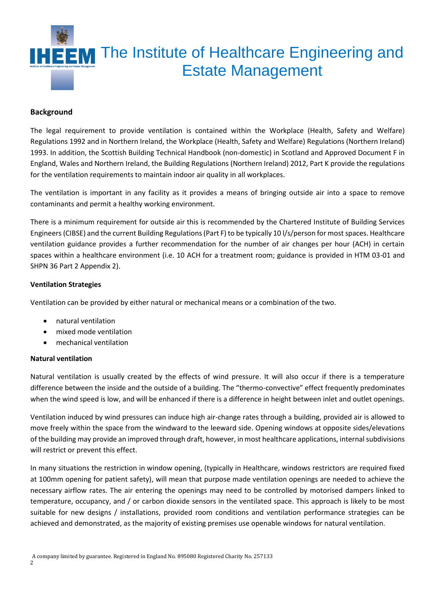

#### **Background**

The legal requirement to provide ventilation is contained within the Workplace (Health, Safety and Welfare) Regulations 1992 and in Northern Ireland, the Workplace (Health, Safety and Welfare) Regulations (Northern Ireland) 1993. In addition, the Scottish Building Technical Handbook (non-domestic) in Scotland and Approved Document F in England, Wales and Northern Ireland, the Building Regulations (Northern Ireland) 2012, Part K provide the regulations for the ventilation requirements to maintain indoor air quality in all workplaces.

The ventilation is important in any facility as it provides a means of bringing outside air into a space to remove contaminants and permit a healthy working environment.

There is a minimum requirement for outside air this is recommended by the Chartered Institute of Building Services Engineers (CIBSE) and the current Building Regulations (Part F) to be typically 10 l/s/person for most spaces. Healthcare ventilation guidance provides a further recommendation for the number of air changes per hour (ACH) in certain spaces within a healthcare environment (i.e. 10 ACH for a treatment room; guidance is provided in HTM 03-01 and SHPN 36 Part 2 Appendix 2).

#### **Ventilation Strategies**

Ventilation can be provided by either natural or mechanical means or a combination of the two.

- natural ventilation
- mixed mode ventilation
- mechanical ventilation

#### **Natural ventilation**

Natural ventilation is usually created by the effects of wind pressure. It will also occur if there is a temperature difference between the inside and the outside of a building. The "thermo-convective" effect frequently predominates when the wind speed is low, and will be enhanced if there is a difference in height between inlet and outlet openings.

Ventilation induced by wind pressures can induce high air-change rates through a building, provided air is allowed to move freely within the space from the windward to the leeward side. Opening windows at opposite sides/elevations of the building may provide an improved through draft, however, in most healthcare applications, internal subdivisions will restrict or prevent this effect.

In many situations the restriction in window opening, (typically in Healthcare, windows restrictors are required fixed at 100mm opening for patient safety), will mean that purpose made ventilation openings are needed to achieve the necessary airflow rates. The air entering the openings may need to be controlled by motorised dampers linked to temperature, occupancy, and / or carbon dioxide sensors in the ventilated space. This approach is likely to be most suitable for new designs / installations, provided room conditions and ventilation performance strategies can be achieved and demonstrated, as the majority of existing premises use openable windows for natural ventilation.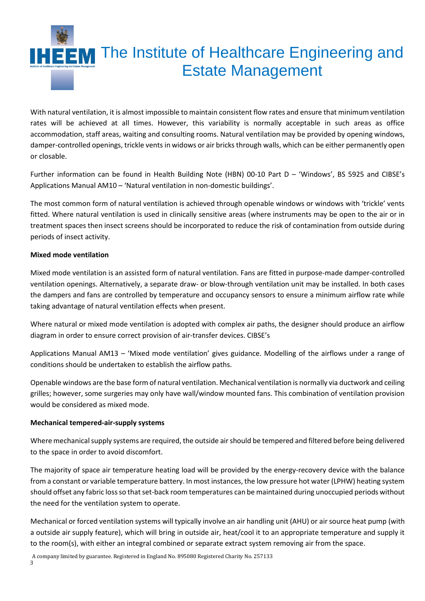

With natural ventilation, it is almost impossible to maintain consistent flow rates and ensure that minimum ventilation rates will be achieved at all times. However, this variability is normally acceptable in such areas as office accommodation, staff areas, waiting and consulting rooms. Natural ventilation may be provided by opening windows, damper-controlled openings, trickle vents in widows or air bricks through walls, which can be either permanently open or closable.

Further information can be found in Health Building Note (HBN) 00-10 Part D – 'Windows', BS 5925 and CIBSE's Applications Manual AM10 – 'Natural ventilation in non-domestic buildings'.

The most common form of natural ventilation is achieved through openable windows or windows with 'trickle' vents fitted. Where natural ventilation is used in clinically sensitive areas (where instruments may be open to the air or in treatment spaces then insect screens should be incorporated to reduce the risk of contamination from outside during periods of insect activity.

#### **Mixed mode ventilation**

Mixed mode ventilation is an assisted form of natural ventilation. Fans are fitted in purpose-made damper-controlled ventilation openings. Alternatively, a separate draw- or blow-through ventilation unit may be installed. In both cases the dampers and fans are controlled by temperature and occupancy sensors to ensure a minimum airflow rate while taking advantage of natural ventilation effects when present.

Where natural or mixed mode ventilation is adopted with complex air paths, the designer should produce an airflow diagram in order to ensure correct provision of air-transfer devices. CIBSE's

Applications Manual AM13 – 'Mixed mode ventilation' gives guidance. Modelling of the airflows under a range of conditions should be undertaken to establish the airflow paths.

Openable windows are the base form of natural ventilation. Mechanical ventilation is normally via ductwork and ceiling grilles; however, some surgeries may only have wall/window mounted fans. This combination of ventilation provision would be considered as mixed mode.

#### **Mechanical tempered-air-supply systems**

Where mechanical supply systems are required, the outside air should be tempered and filtered before being delivered to the space in order to avoid discomfort.

The majority of space air temperature heating load will be provided by the energy-recovery device with the balance from a constant or variable temperature battery. In most instances, the low pressure hot water (LPHW) heating system should offset any fabric loss so that set-back room temperatures can be maintained during unoccupied periods without the need for the ventilation system to operate.

Mechanical or forced ventilation systems will typically involve an air handling unit (AHU) or air source heat pump (with a outside air supply feature), which will bring in outside air, heat/cool it to an appropriate temperature and supply it to the room(s), with either an integral combined or separate extract system removing air from the space.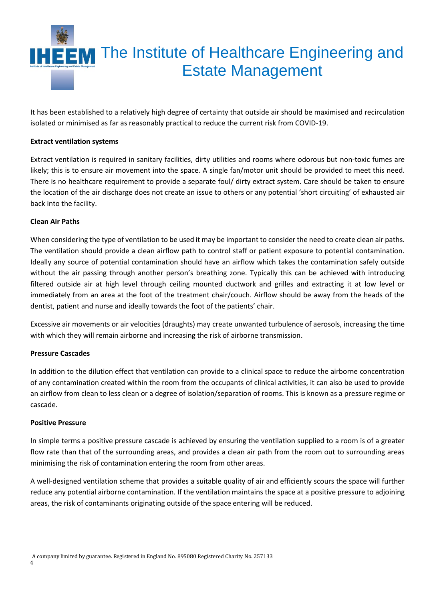

It has been established to a relatively high degree of certainty that outside air should be maximised and recirculation isolated or minimised as far as reasonably practical to reduce the current risk from COVID-19.

#### **Extract ventilation systems**

Extract ventilation is required in sanitary facilities, dirty utilities and rooms where odorous but non-toxic fumes are likely; this is to ensure air movement into the space. A single fan/motor unit should be provided to meet this need. There is no healthcare requirement to provide a separate foul/ dirty extract system. Care should be taken to ensure the location of the air discharge does not create an issue to others or any potential 'short circuiting' of exhausted air back into the facility.

#### **Clean Air Paths**

When considering the type of ventilation to be used it may be important to consider the need to create clean air paths. The ventilation should provide a clean airflow path to control staff or patient exposure to potential contamination. Ideally any source of potential contamination should have an airflow which takes the contamination safely outside without the air passing through another person's breathing zone. Typically this can be achieved with introducing filtered outside air at high level through ceiling mounted ductwork and grilles and extracting it at low level or immediately from an area at the foot of the treatment chair/couch. Airflow should be away from the heads of the dentist, patient and nurse and ideally towards the foot of the patients' chair.

Excessive air movements or air velocities (draughts) may create unwanted turbulence of aerosols, increasing the time with which they will remain airborne and increasing the risk of airborne transmission.

#### **Pressure Cascades**

In addition to the dilution effect that ventilation can provide to a clinical space to reduce the airborne concentration of any contamination created within the room from the occupants of clinical activities, it can also be used to provide an airflow from clean to less clean or a degree of isolation/separation of rooms. This is known as a pressure regime or cascade.

#### **Positive Pressure**

In simple terms a positive pressure cascade is achieved by ensuring the ventilation supplied to a room is of a greater flow rate than that of the surrounding areas, and provides a clean air path from the room out to surrounding areas minimising the risk of contamination entering the room from other areas.

A well-designed ventilation scheme that provides a suitable quality of air and efficiently scours the space will further reduce any potential airborne contamination. If the ventilation maintains the space at a positive pressure to adjoining areas, the risk of contaminants originating outside of the space entering will be reduced.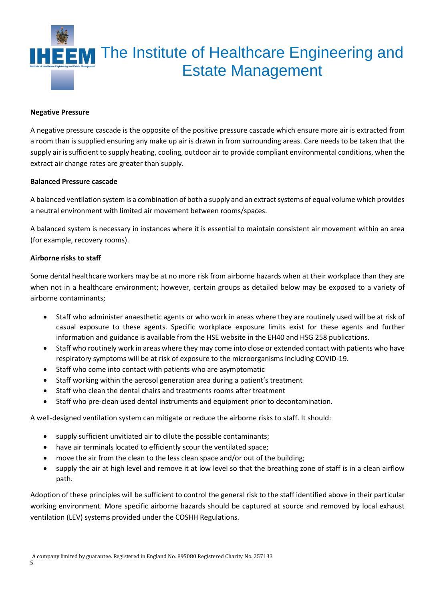

#### **Negative Pressure**

A negative pressure cascade is the opposite of the positive pressure cascade which ensure more air is extracted from a room than is supplied ensuring any make up air is drawn in from surrounding areas. Care needs to be taken that the supply air is sufficient to supply heating, cooling, outdoor air to provide compliant environmental conditions, when the extract air change rates are greater than supply.

#### **Balanced Pressure cascade**

A balanced ventilation system is a combination of both a supply and an extract systems of equal volume which provides a neutral environment with limited air movement between rooms/spaces.

A balanced system is necessary in instances where it is essential to maintain consistent air movement within an area (for example, recovery rooms).

#### **Airborne risks to staff**

Some dental healthcare workers may be at no more risk from airborne hazards when at their workplace than they are when not in a healthcare environment; however, certain groups as detailed below may be exposed to a variety of airborne contaminants;

- Staff who administer anaesthetic agents or who work in areas where they are routinely used will be at risk of casual exposure to these agents. Specific workplace exposure limits exist for these agents and further information and guidance is available from the HSE website in the EH40 and HSG 258 publications.
- Staff who routinely work in areas where they may come into close or extended contact with patients who have respiratory symptoms will be at risk of exposure to the microorganisms including COVID-19.
- Staff who come into contact with patients who are asymptomatic
- Staff working within the aerosol generation area during a patient's treatment
- Staff who clean the dental chairs and treatments rooms after treatment
- Staff who pre-clean used dental instruments and equipment prior to decontamination.

A well-designed ventilation system can mitigate or reduce the airborne risks to staff. It should:

- supply sufficient unvitiated air to dilute the possible contaminants;
- have air terminals located to efficiently scour the ventilated space;
- move the air from the clean to the less clean space and/or out of the building;
- supply the air at high level and remove it at low level so that the breathing zone of staff is in a clean airflow path.

Adoption of these principles will be sufficient to control the general risk to the staff identified above in their particular working environment. More specific airborne hazards should be captured at source and removed by local exhaust ventilation (LEV) systems provided under the COSHH Regulations.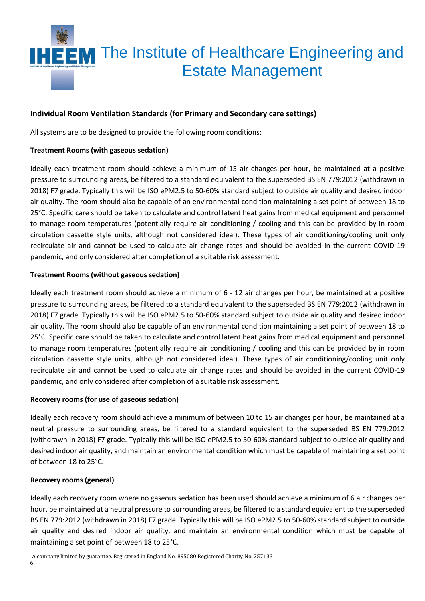

#### **Individual Room Ventilation Standards (for Primary and Secondary care settings)**

All systems are to be designed to provide the following room conditions;

#### **Treatment Rooms (with gaseous sedation)**

Ideally each treatment room should achieve a minimum of 15 air changes per hour, be maintained at a positive pressure to surrounding areas, be filtered to a standard equivalent to the superseded BS EN 779:2012 (withdrawn in 2018) F7 grade. Typically this will be ISO ePM2.5 to 50-60% standard subject to outside air quality and desired indoor air quality. The room should also be capable of an environmental condition maintaining a set point of between 18 to 25°C. Specific care should be taken to calculate and control latent heat gains from medical equipment and personnel to manage room temperatures (potentially require air conditioning / cooling and this can be provided by in room circulation cassette style units, although not considered ideal). These types of air conditioning/cooling unit only recirculate air and cannot be used to calculate air change rates and should be avoided in the current COVID-19 pandemic, and only considered after completion of a suitable risk assessment.

#### **Treatment Rooms (without gaseous sedation)**

Ideally each treatment room should achieve a minimum of 6 - 12 air changes per hour, be maintained at a positive pressure to surrounding areas, be filtered to a standard equivalent to the superseded BS EN 779:2012 (withdrawn in 2018) F7 grade. Typically this will be ISO ePM2.5 to 50-60% standard subject to outside air quality and desired indoor air quality. The room should also be capable of an environmental condition maintaining a set point of between 18 to 25°C. Specific care should be taken to calculate and control latent heat gains from medical equipment and personnel to manage room temperatures (potentially require air conditioning / cooling and this can be provided by in room circulation cassette style units, although not considered ideal). These types of air conditioning/cooling unit only recirculate air and cannot be used to calculate air change rates and should be avoided in the current COVID-19 pandemic, and only considered after completion of a suitable risk assessment.

#### **Recovery rooms (for use of gaseous sedation)**

Ideally each recovery room should achieve a minimum of between 10 to 15 air changes per hour, be maintained at a neutral pressure to surrounding areas, be filtered to a standard equivalent to the superseded BS EN 779:2012 (withdrawn in 2018) F7 grade. Typically this will be ISO ePM2.5 to 50-60% standard subject to outside air quality and desired indoor air quality, and maintain an environmental condition which must be capable of maintaining a set point of between 18 to 25°C.

#### **Recovery rooms (general)**

Ideally each recovery room where no gaseous sedation has been used should achieve a minimum of 6 air changes per hour, be maintained at a neutral pressure to surrounding areas, be filtered to a standard equivalent to the superseded BS EN 779:2012 (withdrawn in 2018) F7 grade. Typically this will be ISO ePM2.5 to 50-60% standard subject to outside air quality and desired indoor air quality, and maintain an environmental condition which must be capable of maintaining a set point of between 18 to 25°C.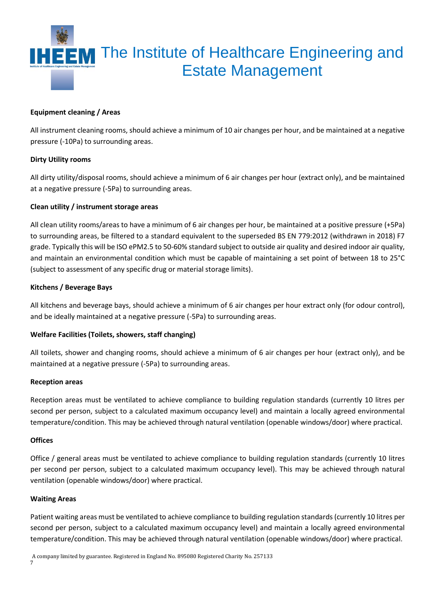

#### **Equipment cleaning / Areas**

All instrument cleaning rooms, should achieve a minimum of 10 air changes per hour, and be maintained at a negative pressure (-10Pa) to surrounding areas.

#### **Dirty Utility rooms**

All dirty utility/disposal rooms, should achieve a minimum of 6 air changes per hour (extract only), and be maintained at a negative pressure (-5Pa) to surrounding areas.

#### **Clean utility / instrument storage areas**

All clean utility rooms/areas to have a minimum of 6 air changes per hour, be maintained at a positive pressure (+5Pa) to surrounding areas, be filtered to a standard equivalent to the superseded BS EN 779:2012 (withdrawn in 2018) F7 grade. Typically this will be ISO ePM2.5 to 50-60% standard subject to outside air quality and desired indoor air quality, and maintain an environmental condition which must be capable of maintaining a set point of between 18 to 25°C (subject to assessment of any specific drug or material storage limits).

#### **Kitchens / Beverage Bays**

All kitchens and beverage bays, should achieve a minimum of 6 air changes per hour extract only (for odour control), and be ideally maintained at a negative pressure (-5Pa) to surrounding areas.

#### **Welfare Facilities (Toilets, showers, staff changing)**

All toilets, shower and changing rooms, should achieve a minimum of 6 air changes per hour (extract only), and be maintained at a negative pressure (-5Pa) to surrounding areas.

#### **Reception areas**

Reception areas must be ventilated to achieve compliance to building regulation standards (currently 10 litres per second per person, subject to a calculated maximum occupancy level) and maintain a locally agreed environmental temperature/condition. This may be achieved through natural ventilation (openable windows/door) where practical.

#### **Offices**

Office / general areas must be ventilated to achieve compliance to building regulation standards (currently 10 litres per second per person, subject to a calculated maximum occupancy level). This may be achieved through natural ventilation (openable windows/door) where practical.

#### **Waiting Areas**

Patient waiting areas must be ventilated to achieve compliance to building regulation standards (currently 10 litres per second per person, subject to a calculated maximum occupancy level) and maintain a locally agreed environmental temperature/condition. This may be achieved through natural ventilation (openable windows/door) where practical.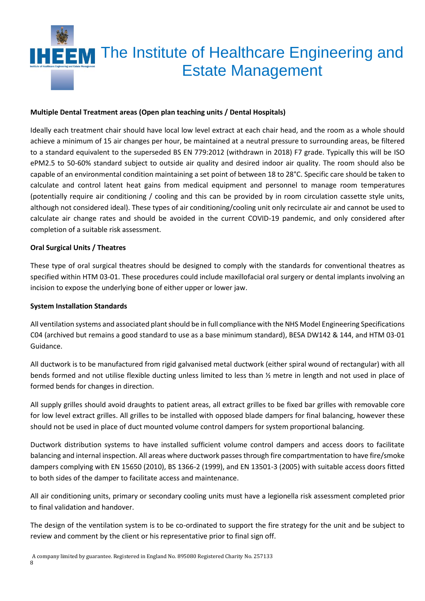

#### **Multiple Dental Treatment areas (Open plan teaching units / Dental Hospitals)**

Ideally each treatment chair should have local low level extract at each chair head, and the room as a whole should achieve a minimum of 15 air changes per hour, be maintained at a neutral pressure to surrounding areas, be filtered to a standard equivalent to the superseded BS EN 779:2012 (withdrawn in 2018) F7 grade. Typically this will be ISO ePM2.5 to 50-60% standard subject to outside air quality and desired indoor air quality. The room should also be capable of an environmental condition maintaining a set point of between 18 to 28°C. Specific care should be taken to calculate and control latent heat gains from medical equipment and personnel to manage room temperatures (potentially require air conditioning / cooling and this can be provided by in room circulation cassette style units, although not considered ideal). These types of air conditioning/cooling unit only recirculate air and cannot be used to calculate air change rates and should be avoided in the current COVID-19 pandemic, and only considered after completion of a suitable risk assessment.

#### **Oral Surgical Units / Theatres**

These type of oral surgical theatres should be designed to comply with the standards for conventional theatres as specified within HTM 03-01. These procedures could include maxillofacial oral surgery or dental implants involving an incision to expose the underlying bone of either upper or lower jaw.

#### **System Installation Standards**

All ventilation systems and associated plant should be in full compliance with the NHS Model Engineering Specifications C04 (archived but remains a good standard to use as a base minimum standard), BESA DW142 & 144, and HTM 03-01 Guidance.

All ductwork is to be manufactured from rigid galvanised metal ductwork (either spiral wound of rectangular) with all bends formed and not utilise flexible ducting unless limited to less than ½ metre in length and not used in place of formed bends for changes in direction.

All supply grilles should avoid draughts to patient areas, all extract grilles to be fixed bar grilles with removable core for low level extract grilles. All grilles to be installed with opposed blade dampers for final balancing, however these should not be used in place of duct mounted volume control dampers for system proportional balancing.

Ductwork distribution systems to have installed sufficient volume control dampers and access doors to facilitate balancing and internal inspection. All areas where ductwork passes through fire compartmentation to have fire/smoke dampers complying with EN 15650 (2010), BS 1366-2 (1999), and EN 13501-3 (2005) with suitable access doors fitted to both sides of the damper to facilitate access and maintenance.

All air conditioning units, primary or secondary cooling units must have a legionella risk assessment completed prior to final validation and handover.

The design of the ventilation system is to be co-ordinated to support the fire strategy for the unit and be subject to review and comment by the client or his representative prior to final sign off.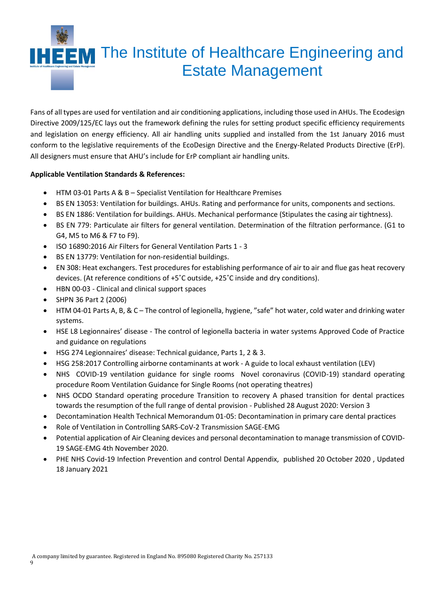

Fans of all types are used for ventilation and air conditioning applications, including those used in AHUs. The Ecodesign Directive 2009/125/EC lays out the framework defining the rules for setting product specific efficiency requirements and legislation on energy efficiency. All air handling units supplied and installed from the 1st January 2016 must conform to the legislative requirements of the EcoDesign Directive and the Energy-Related Products Directive (ErP). All designers must ensure that AHU's include for ErP compliant air handling units.

#### **Applicable Ventilation Standards & References:**

- HTM 03-01 Parts A & B Specialist Ventilation for Healthcare Premises
- BS EN 13053: Ventilation for buildings. AHUs. Rating and performance for units, components and sections.
- BS EN 1886: Ventilation for buildings. AHUs. Mechanical performance (Stipulates the casing air tightness).
- BS EN 779: Particulate air filters for general ventilation. Determination of the filtration performance. (G1 to G4, M5 to M6 & F7 to F9).
- ISO 16890:2016 Air Filters for General Ventilation Parts 1 3
- BS EN 13779: Ventilation for non-residential buildings.
- EN 308: Heat exchangers. Test procedures for establishing performance of air to air and flue gas heat recovery devices. (At reference conditions of +5˚C outside, +25˚C inside and dry conditions).
- HBN 00-03 Clinical and clinical support spaces
- SHPN 36 Part 2 (2006)
- HTM 04-01 Parts A, B, & C The control of legionella, hygiene, "safe" hot water, cold water and drinking water systems.
- HSE L8 Legionnaires' disease The control of legionella bacteria in water systems Approved Code of Practice and guidance on regulations
- HSG 274 Legionnaires' disease: Technical guidance, Parts 1, 2 & 3.
- HSG 258:2017 Controlling airborne contaminants at work A guide to local exhaust ventilation (LEV)
- NHS COVID-19 ventilation guidance for single rooms Novel coronavirus (COVID-19) standard operating procedure Room Ventilation Guidance for Single Rooms (not operating theatres)
- NHS OCDO Standard operating procedure Transition to recovery A phased transition for dental practices towards the resumption of the full range of dental provision - Published 28 August 2020: Version 3
- Decontamination Health Technical Memorandum 01-05: Decontamination in primary care dental practices
- Role of Ventilation in Controlling SARS-CoV-2 Transmission SAGE-EMG
- Potential application of Air Cleaning devices and personal decontamination to manage transmission of COVID-19 SAGE-EMG 4th November 2020.
- PHE NHS Covid-19 Infection Prevention and control Dental Appendix, published 20 October 2020 , Updated 18 January 2021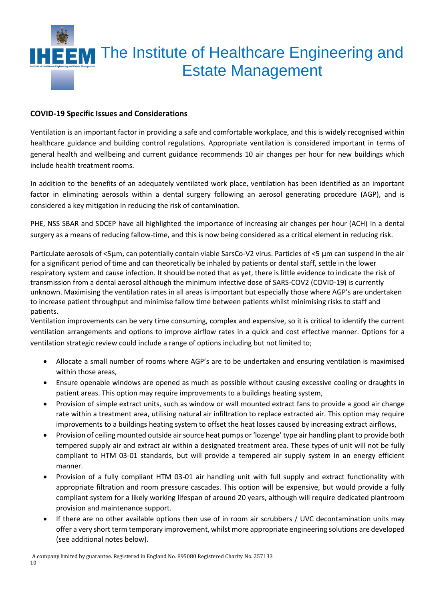

#### **COVID-19 Specific Issues and Considerations**

Ventilation is an important factor in providing a safe and comfortable workplace, and this is widely recognised within healthcare guidance and building control regulations. Appropriate ventilation is considered important in terms of general health and wellbeing and current guidance recommends 10 air changes per hour for new buildings which include health treatment rooms.

In addition to the benefits of an adequately ventilated work place, ventilation has been identified as an important factor in eliminating aerosols within a dental surgery following an aerosol generating procedure (AGP), and is considered a key mitigation in reducing the risk of contamination.

PHE, NSS SBAR and SDCEP have all highlighted the importance of increasing air changes per hour (ACH) in a dental surgery as a means of reducing fallow-time, and this is now being considered as a critical element in reducing risk.

Particulate aerosols of <5µm, can potentially contain viable SarsCo-V2 virus. Particles of <5 µm can suspend in the air for a significant period of time and can theoretically be inhaled by patients or dental staff, settle in the lower respiratory system and cause infection. It should be noted that as yet, there is little evidence to indicate the risk of transmission from a dental aerosol although the minimum infective dose of SARS-COV2 (COVID-19) is currently unknown. Maximising the ventilation rates in all areas is important but especially those where AGP's are undertaken to increase patient throughput and minimise fallow time between patients whilst minimising risks to staff and patients.

Ventilation improvements can be very time consuming, complex and expensive, so it is critical to identify the current ventilation arrangements and options to improve airflow rates in a quick and cost effective manner. Options for a ventilation strategic review could include a range of options including but not limited to;

- Allocate a small number of rooms where AGP's are to be undertaken and ensuring ventilation is maximised within those areas,
- Ensure openable windows are opened as much as possible without causing excessive cooling or draughts in patient areas. This option may require improvements to a buildings heating system,
- Provision of simple extract units, such as window or wall mounted extract fans to provide a good air change rate within a treatment area, utilising natural air infiltration to replace extracted air. This option may require improvements to a buildings heating system to offset the heat losses caused by increasing extract airflows,
- Provision of ceiling mounted outside air source heat pumps or 'lozenge' type air handling plant to provide both tempered supply air and extract air within a designated treatment area. These types of unit will not be fully compliant to HTM 03-01 standards, but will provide a tempered air supply system in an energy efficient manner.
- Provision of a fully compliant HTM 03-01 air handling unit with full supply and extract functionality with appropriate filtration and room pressure cascades. This option will be expensive, but would provide a fully compliant system for a likely working lifespan of around 20 years, although will require dedicated plantroom provision and maintenance support.
- If there are no other available options then use of in room air scrubbers / UVC decontamination units may offer a very short term temporary improvement, whilst more appropriate engineering solutions are developed (see additional notes below).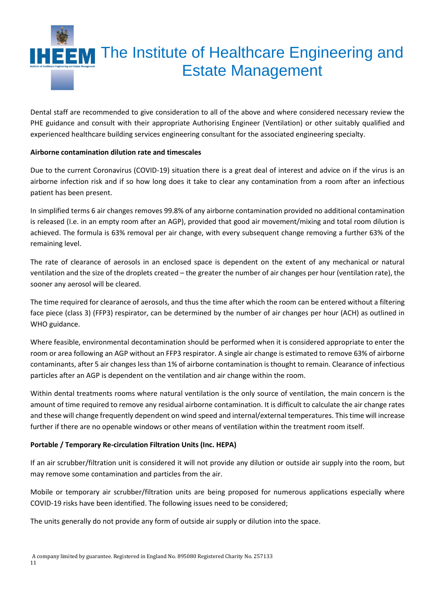

Dental staff are recommended to give consideration to all of the above and where considered necessary review the PHE guidance and consult with their appropriate Authorising Engineer (Ventilation) or other suitably qualified and experienced healthcare building services engineering consultant for the associated engineering specialty.

#### **Airborne contamination dilution rate and timescales**

Due to the current Coronavirus (COVID-19) situation there is a great deal of interest and advice on if the virus is an airborne infection risk and if so how long does it take to clear any contamination from a room after an infectious patient has been present.

In simplified terms 6 air changes removes 99.8% of any airborne contamination provided no additional contamination is released (I.e. in an empty room after an AGP), provided that good air movement/mixing and total room dilution is achieved. The formula is 63% removal per air change, with every subsequent change removing a further 63% of the remaining level.

The rate of clearance of aerosols in an enclosed space is dependent on the extent of any mechanical or natural ventilation and the size of the droplets created – the greater the number of air changes per hour (ventilation rate), the sooner any aerosol will be cleared.

The time required for clearance of aerosols, and thus the time after which the room can be entered without a filtering face piece (class 3) (FFP3) respirator, can be determined by the number of air changes per hour (ACH) as outlined in WHO guidance.

Where feasible, environmental decontamination should be performed when it is considered appropriate to enter the room or area following an AGP without an FFP3 respirator. A single air change is estimated to remove 63% of airborne contaminants, after 5 air changes less than 1% of airborne contamination is thought to remain. Clearance of infectious particles after an AGP is dependent on the ventilation and air change within the room.

Within dental treatments rooms where natural ventilation is the only source of ventilation, the main concern is the amount of time required to remove any residual airborne contamination. It is difficult to calculate the air change rates and these will change frequently dependent on wind speed and internal/external temperatures. This time will increase further if there are no openable windows or other means of ventilation within the treatment room itself.

#### **Portable / Temporary Re-circulation Filtration Units (Inc. HEPA)**

If an air scrubber/filtration unit is considered it will not provide any dilution or outside air supply into the room, but may remove some contamination and particles from the air.

Mobile or temporary air scrubber/filtration units are being proposed for numerous applications especially where COVID-19 risks have been identified. The following issues need to be considered;

The units generally do not provide any form of outside air supply or dilution into the space.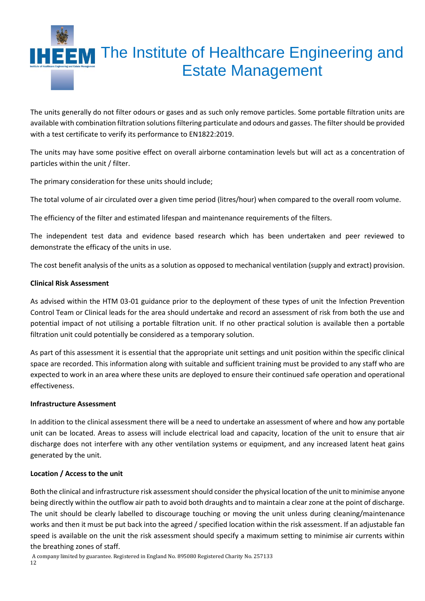# **IHEEM** The Institute of Healthcare Engineering and Estate Management

The units generally do not filter odours or gases and as such only remove particles. Some portable filtration units are available with combination filtration solutions filtering particulate and odours and gasses. The filter should be provided with a test certificate to verify its performance to EN1822:2019.

The units may have some positive effect on overall airborne contamination levels but will act as a concentration of particles within the unit / filter.

The primary consideration for these units should include;

The total volume of air circulated over a given time period (litres/hour) when compared to the overall room volume.

The efficiency of the filter and estimated lifespan and maintenance requirements of the filters.

The independent test data and evidence based research which has been undertaken and peer reviewed to demonstrate the efficacy of the units in use.

The cost benefit analysis of the units as a solution as opposed to mechanical ventilation (supply and extract) provision.

#### **Clinical Risk Assessment**

As advised within the HTM 03-01 guidance prior to the deployment of these types of unit the Infection Prevention Control Team or Clinical leads for the area should undertake and record an assessment of risk from both the use and potential impact of not utilising a portable filtration unit. If no other practical solution is available then a portable filtration unit could potentially be considered as a temporary solution.

As part of this assessment it is essential that the appropriate unit settings and unit position within the specific clinical space are recorded. This information along with suitable and sufficient training must be provided to any staff who are expected to work in an area where these units are deployed to ensure their continued safe operation and operational effectiveness.

#### **Infrastructure Assessment**

In addition to the clinical assessment there will be a need to undertake an assessment of where and how any portable unit can be located. Areas to assess will include electrical load and capacity, location of the unit to ensure that air discharge does not interfere with any other ventilation systems or equipment, and any increased latent heat gains generated by the unit.

#### **Location / Access to the unit**

Both the clinical and infrastructure risk assessment should consider the physical location of the unit to minimise anyone being directly within the outflow air path to avoid both draughts and to maintain a clear zone at the point of discharge. The unit should be clearly labelled to discourage touching or moving the unit unless during cleaning/maintenance works and then it must be put back into the agreed / specified location within the risk assessment. If an adjustable fan speed is available on the unit the risk assessment should specify a maximum setting to minimise air currents within the breathing zones of staff.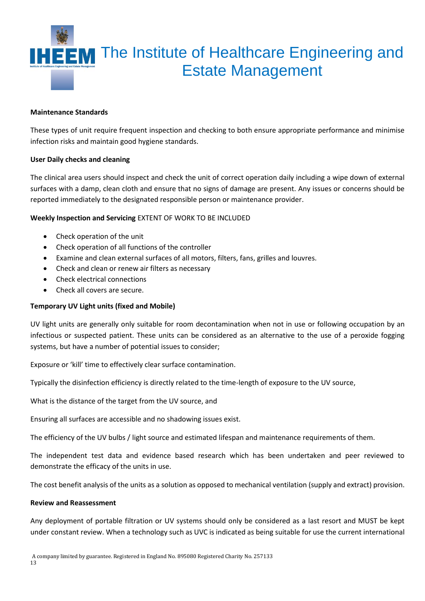

#### **Maintenance Standards**

These types of unit require frequent inspection and checking to both ensure appropriate performance and minimise infection risks and maintain good hygiene standards.

#### **User Daily checks and cleaning**

The clinical area users should inspect and check the unit of correct operation daily including a wipe down of external surfaces with a damp, clean cloth and ensure that no signs of damage are present. Any issues or concerns should be reported immediately to the designated responsible person or maintenance provider.

#### **Weekly Inspection and Servicing** EXTENT OF WORK TO BE INCLUDED

- Check operation of the unit
- Check operation of all functions of the controller
- Examine and clean external surfaces of all motors, filters, fans, grilles and louvres.
- Check and clean or renew air filters as necessary
- Check electrical connections
- Check all covers are secure.

#### **Temporary UV Light units (fixed and Mobile)**

UV light units are generally only suitable for room decontamination when not in use or following occupation by an infectious or suspected patient. These units can be considered as an alternative to the use of a peroxide fogging systems, but have a number of potential issues to consider;

Exposure or 'kill' time to effectively clear surface contamination.

Typically the disinfection efficiency is directly related to the time-length of exposure to the UV source,

What is the distance of the target from the UV source, and

Ensuring all surfaces are accessible and no shadowing issues exist.

The efficiency of the UV bulbs / light source and estimated lifespan and maintenance requirements of them.

The independent test data and evidence based research which has been undertaken and peer reviewed to demonstrate the efficacy of the units in use.

The cost benefit analysis of the units as a solution as opposed to mechanical ventilation (supply and extract) provision.

#### **Review and Reassessment**

Any deployment of portable filtration or UV systems should only be considered as a last resort and MUST be kept under constant review. When a technology such as UVC is indicated as being suitable for use the current international